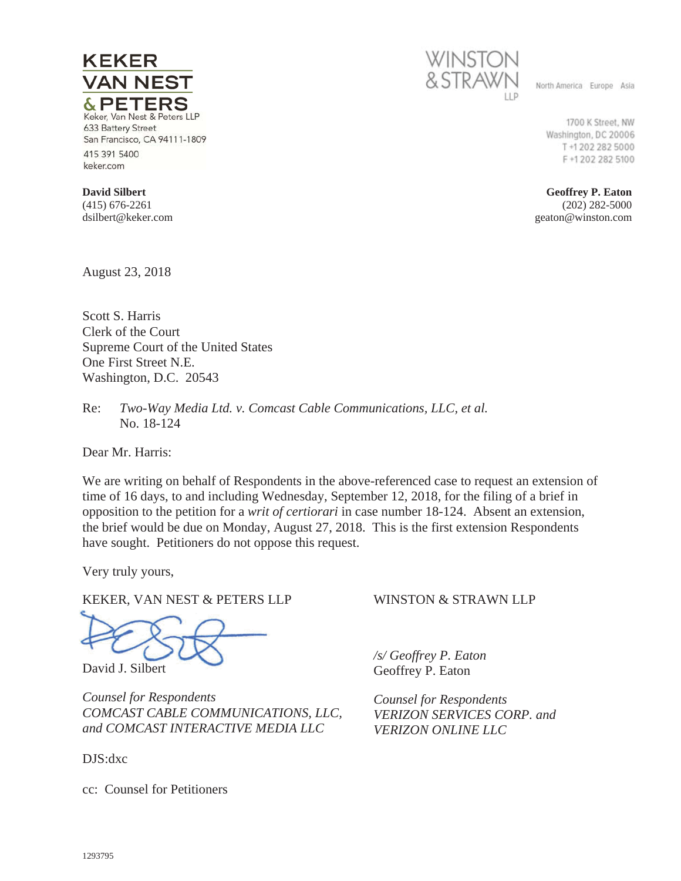

& PETERS Keker, Van Nest & Peters LLP 633 Battery Street San Francisco, CA 94111-1809 415 391 5400 keker.com

**VAN NEST** 

**David Silbert**  (415) 676-2261 dsilbert@keker.com

**KEKER** 

August 23, 2018

Scott S. Harris Clerk of the Court Supreme Court of the United States One First Street N.E. Washington, D.C. 20543

Re: *Two-Way Media Ltd. v. Comcast Cable Communications, LLC, et al.* No. 18-124

Dear Mr. Harris:

We are writing on behalf of Respondents in the above-referenced case to request an extension of time of 16 days, to and including Wednesday, September 12, 2018, for the filing of a brief in opposition to the petition for a *writ of certiorari* in case number 18-124. Absent an extension, the brief would be due on Monday, August 27, 2018. This is the first extension Respondents have sought. Petitioners do not oppose this request.

Very truly yours,

KEKER, VAN NEST & PETERS LLP

David J. Silbert

*Counsel for Respondents COMCAST CABLE COMMUNICATIONS, LLC, and COMCAST INTERACTIVE MEDIA LLC* 

DJS:dxc

cc: Counsel for Petitioners

## WINSTON & STRAWN LLP

*/s/ Geoffrey P. Eaton* Geoffrey P. Eaton

*Counsel for Respondents VERIZON SERVICES CORP. and VERIZON ONLINE LLC* 



North America Europe Asia

1700 K Street, NW Washington, DC 20006 T +1 202 282 5000 F+1202 282 5100

**Geoffrey P. Eaton**  (202) 282-5000 geaton@winston.com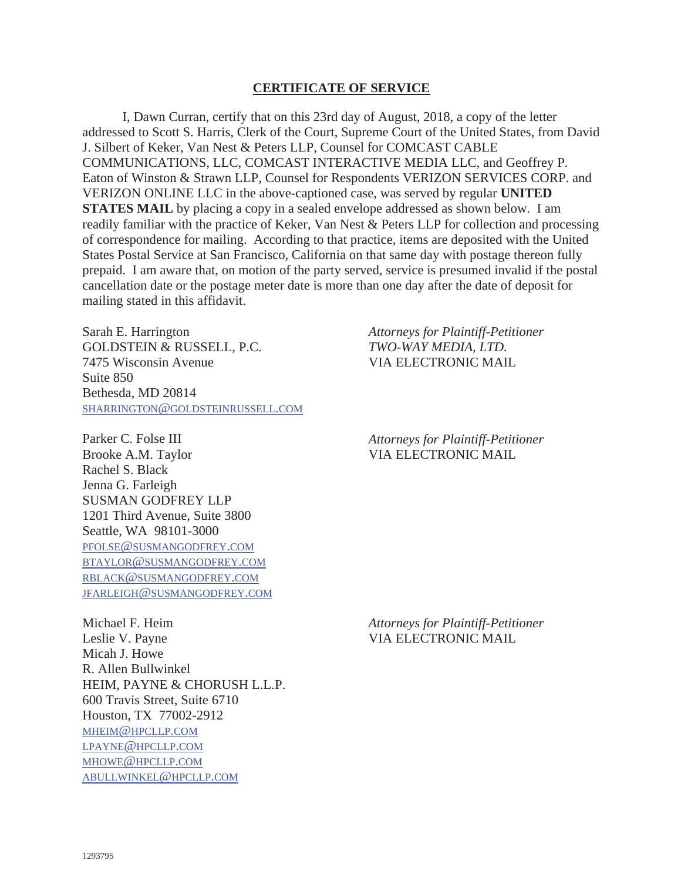## **CERTIFICATE OF SERVICE**

I, Dawn Curran, certify that on this 23rd day of August, 2018, a copy of the letter addressed to Scott S. Harris, Clerk of the Court, Supreme Court of the United States, from David J. Silbert of Keker, Van Nest & Peters LLP, Counsel for COMCAST CABLE COMMUNICATIONS, LLC, COMCAST INTERACTIVE MEDIA LLC, and Geoffrey P. Eaton of Winston & Strawn LLP, Counsel for Respondents VERIZON SERVICES CORP. and VERIZON ONLINE LLC in the above-captioned case, was served by regular **UNITED STATES MAIL** by placing a copy in a sealed envelope addressed as shown below. I am readily familiar with the practice of Keker, Van Nest & Peters LLP for collection and processing of correspondence for mailing. According to that practice, items are deposited with the United States Postal Service at San Francisco, California on that same day with postage thereon fully prepaid. I am aware that, on motion of the party served, service is presumed invalid if the postal cancellation date or the postage meter date is more than one day after the date of deposit for mailing stated in this affidavit.

Sarah E. Harrington GOLDSTEIN & RUSSELL, P.C. 7475 Wisconsin Avenue Suite 850 Bethesda, MD 20814 SHARRINGTON@GOLDSTEINRUSSELL.COM

Parker C. Folse III Brooke A.M. Taylor Rachel S. Black Jenna G. Farleigh SUSMAN GODFREY LLP 1201 Third Avenue, Suite 3800 Seattle, WA 98101-3000 PFOLSE@SUSMANGODFREY.COM BTAYLOR@SUSMANGODFREY.COM RBLACK@SUSMANGODFREY.COM JFARLEIGH@SUSMANGODFREY.COM *Attorneys for Plaintiff-Petitioner TWO-WAY MEDIA, LTD.*  VIA ELECTRONIC MAIL

*Attorneys for Plaintiff-Petitioner*  VIA ELECTRONIC MAIL

Michael F. Heim Leslie V. Payne Micah J. Howe R. Allen Bullwinkel HEIM, PAYNE & CHORUSH L.L.P. 600 Travis Street, Suite 6710 Houston, TX 77002-2912 MHEIM@HPCLLP.COM LPAYNE@HPCLLP.COM MHOWE@HPCLLP.COM ABULLWINKEL@HPCLLP.COM

*Attorneys for Plaintiff-Petitioner*  VIA ELECTRONIC MAIL